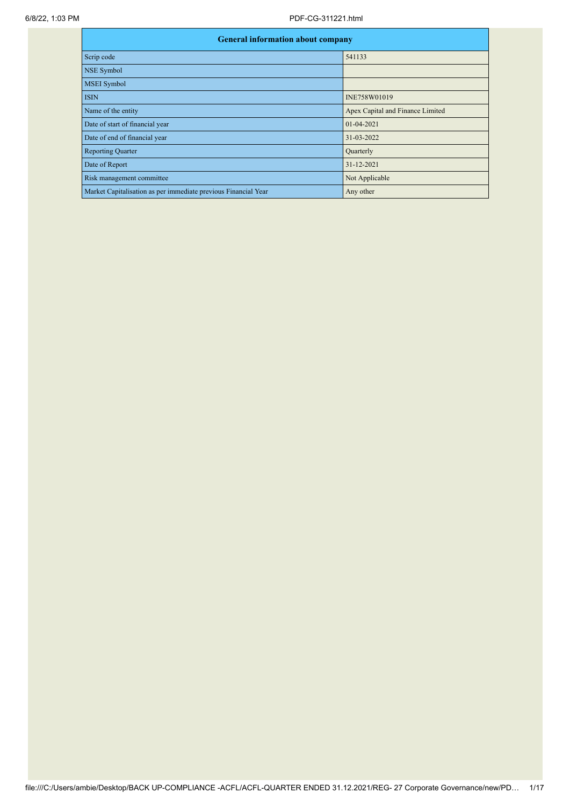| <b>General information about company</b>                       |                                  |  |  |  |  |  |
|----------------------------------------------------------------|----------------------------------|--|--|--|--|--|
| Scrip code                                                     | 541133                           |  |  |  |  |  |
| <b>NSE Symbol</b>                                              |                                  |  |  |  |  |  |
| <b>MSEI</b> Symbol                                             |                                  |  |  |  |  |  |
| <b>ISIN</b>                                                    | INE758W01019                     |  |  |  |  |  |
| Name of the entity                                             | Apex Capital and Finance Limited |  |  |  |  |  |
| Date of start of financial year                                | 01-04-2021                       |  |  |  |  |  |
| Date of end of financial year                                  | 31-03-2022                       |  |  |  |  |  |
| <b>Reporting Quarter</b>                                       | Quarterly                        |  |  |  |  |  |
| Date of Report                                                 | 31-12-2021                       |  |  |  |  |  |
| Risk management committee                                      | Not Applicable                   |  |  |  |  |  |
| Market Capitalisation as per immediate previous Financial Year | Any other                        |  |  |  |  |  |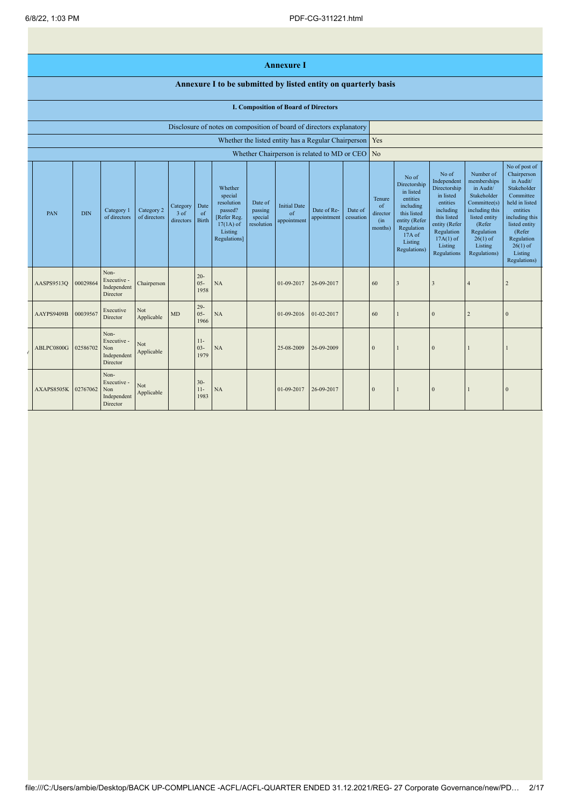## **Annexure I**

## **Annexure I to be submitted by listed entity on quarterly basis**

## **I. Composition of Board of Directors**

|            |            |                                                       |                            |                               |                            | Disclosure of notes on composition of board of directors explanatory                                 |                                             |                                          |                                                           |                      |                                            |                                                                                                                                                  |                                                                                                                                                                   |                                                                                                                                                                          |                                                                                                                                                                                                         |
|------------|------------|-------------------------------------------------------|----------------------------|-------------------------------|----------------------------|------------------------------------------------------------------------------------------------------|---------------------------------------------|------------------------------------------|-----------------------------------------------------------|----------------------|--------------------------------------------|--------------------------------------------------------------------------------------------------------------------------------------------------|-------------------------------------------------------------------------------------------------------------------------------------------------------------------|--------------------------------------------------------------------------------------------------------------------------------------------------------------------------|---------------------------------------------------------------------------------------------------------------------------------------------------------------------------------------------------------|
|            |            |                                                       |                            |                               |                            |                                                                                                      |                                             |                                          | Whether the listed entity has a Regular Chairperson   Yes |                      |                                            |                                                                                                                                                  |                                                                                                                                                                   |                                                                                                                                                                          |                                                                                                                                                                                                         |
|            |            |                                                       |                            |                               |                            |                                                                                                      |                                             |                                          | Whether Chairperson is related to MD or CEO No            |                      |                                            |                                                                                                                                                  |                                                                                                                                                                   |                                                                                                                                                                          |                                                                                                                                                                                                         |
| PAN        | <b>DIN</b> | Category 1<br>of directors                            | Category 2<br>of directors | Category<br>3 of<br>directors | Date<br>of<br><b>Birth</b> | Whether<br>special<br>resolution<br>passed?<br>[Refer Reg.<br>$17(1A)$ of<br>Listing<br>Regulations] | Date of<br>passing<br>special<br>resolution | <b>Initial Date</b><br>of<br>appointment | Date of Re-<br>appointment                                | Date of<br>cessation | Tenure<br>of<br>director<br>(in<br>months) | No of<br>Directorship<br>in listed<br>entities<br>including<br>this listed<br>entity (Refer<br>Regulation<br>$17A$ of<br>Listing<br>Regulations) | No of<br>Independent<br>Directorship<br>in listed<br>entities<br>including<br>this listed<br>entity (Refer<br>Regulation<br>$17A(1)$ of<br>Listing<br>Regulations | Number of<br>memberships<br>in Audit/<br>Stakeholder<br>Committee(s)<br>including this<br>listed entity<br>(Refer<br>Regulation<br>$26(1)$ of<br>Listing<br>Regulations) | No of post of<br>Chairperson<br>in Audit/<br>Stakeholder<br>Committee<br>held in listed<br>entities<br>including this<br>listed entity<br>(Refer<br>Regulation<br>$26(1)$ of<br>Listing<br>Regulations) |
| AASPS9513Q | 00029864   | Non-<br>Executive -<br>Independent<br>Director        | Chairperson                |                               | $20 -$<br>$05 -$<br>1958   | NA                                                                                                   |                                             | 01-09-2017                               | 26-09-2017                                                |                      | 60                                         | $\overline{3}$                                                                                                                                   | $\overline{3}$                                                                                                                                                    | $\overline{4}$                                                                                                                                                           |                                                                                                                                                                                                         |
| AAYPS9409B | 00039567   | Executive<br>Director                                 | Not<br>Applicable          | MD                            | $29 -$<br>$05 -$<br>1966   | NA                                                                                                   |                                             | 01-09-2016                               | 01-02-2017                                                |                      | 60                                         |                                                                                                                                                  | $\mathbf{0}$                                                                                                                                                      |                                                                                                                                                                          |                                                                                                                                                                                                         |
| ABLPC0800G | 02586702   | Non-<br>Executive -<br>Non<br>Independent<br>Director | <b>Not</b><br>Applicable   |                               | $11-$<br>$03 -$<br>1979    | NA                                                                                                   |                                             | 25-08-2009                               | 26-09-2009                                                |                      | $\Omega$                                   |                                                                                                                                                  | $\mathbf{0}$                                                                                                                                                      |                                                                                                                                                                          |                                                                                                                                                                                                         |
| AXAPS8505K | 02767062   | Non-<br>Executive -<br>Non<br>Independent<br>Director | Not<br>Applicable          |                               | $30 -$<br>$11-$<br>1983    | NA                                                                                                   |                                             | 01-09-2017                               | 26-09-2017                                                |                      | $\Omega$                                   |                                                                                                                                                  | $\mathbf{0}$                                                                                                                                                      |                                                                                                                                                                          | $\Omega$                                                                                                                                                                                                |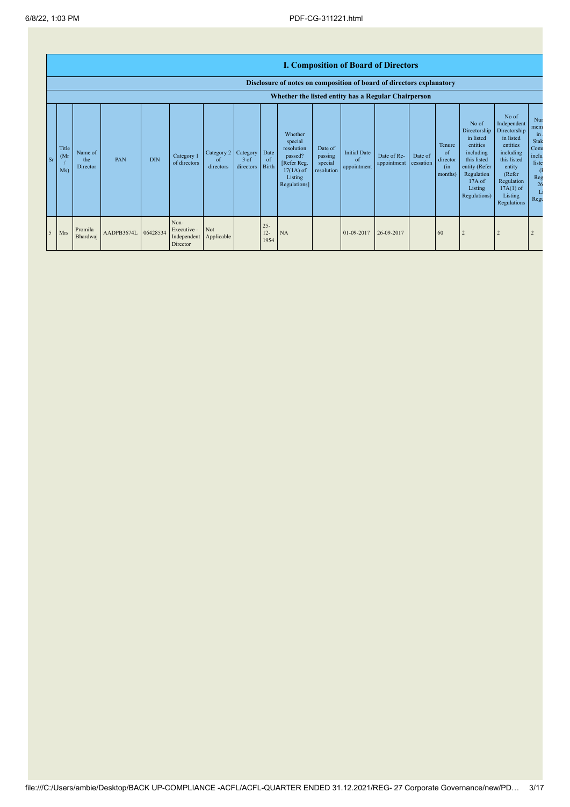|                |                                                     | <b>I. Composition of Board of Directors</b><br>Disclosure of notes on composition of board of directors explanatory |                     |            |                                                |                                             |                     |                          |                                                                                                      |                                             |                                          |                            |                      |                                            |                                                                                                                                                |                                                                                                                                                                      |                                                                                  |
|----------------|-----------------------------------------------------|---------------------------------------------------------------------------------------------------------------------|---------------------|------------|------------------------------------------------|---------------------------------------------|---------------------|--------------------------|------------------------------------------------------------------------------------------------------|---------------------------------------------|------------------------------------------|----------------------------|----------------------|--------------------------------------------|------------------------------------------------------------------------------------------------------------------------------------------------|----------------------------------------------------------------------------------------------------------------------------------------------------------------------|----------------------------------------------------------------------------------|
|                | Whether the listed entity has a Regular Chairperson |                                                                                                                     |                     |            |                                                |                                             |                     |                          |                                                                                                      |                                             |                                          |                            |                      |                                            |                                                                                                                                                |                                                                                                                                                                      |                                                                                  |
| Sr             | Title<br>(Mr)<br>Ms)                                | Name of<br>the<br>Director                                                                                          | PAN                 | <b>DIN</b> | Category 1<br>of directors                     | Category 2 Category Date<br>of<br>directors | $3$ of<br>directors | of<br><b>Birth</b>       | Whether<br>special<br>resolution<br>passed?<br>[Refer Reg.<br>$17(1A)$ of<br>Listing<br>Regulations] | Date of<br>passing<br>special<br>resolution | <b>Initial Date</b><br>of<br>appointment | Date of Re-<br>appointment | Date of<br>cessation | Tenure<br>of<br>director<br>(in<br>months) | No of<br>Directorship<br>in listed<br>entities<br>including<br>this listed<br>entity (Refer<br>Regulation<br>17A of<br>Listing<br>Regulations) | No of<br>Independent<br>Directorship<br>in listed<br>entities<br>including<br>this listed<br>entity<br>(Refer<br>Regulation<br>$17A(1)$ of<br>Listing<br>Regulations | Nur<br>mem<br>$\mathbf{m}$<br>Stak<br>Com<br>inclu<br>liste<br>Reg<br>26<br>Regu |
| $\overline{5}$ | Mrs                                                 | Promila<br>Bhardwaj                                                                                                 | AADPB3674L 06428534 |            | Non-<br>Executive -<br>Independent<br>Director | Not<br>Applicable                           |                     | $25 -$<br>$12 -$<br>1954 | NA                                                                                                   |                                             | 01-09-2017                               | 26-09-2017                 |                      | 60                                         |                                                                                                                                                | $\overline{2}$                                                                                                                                                       | 2                                                                                |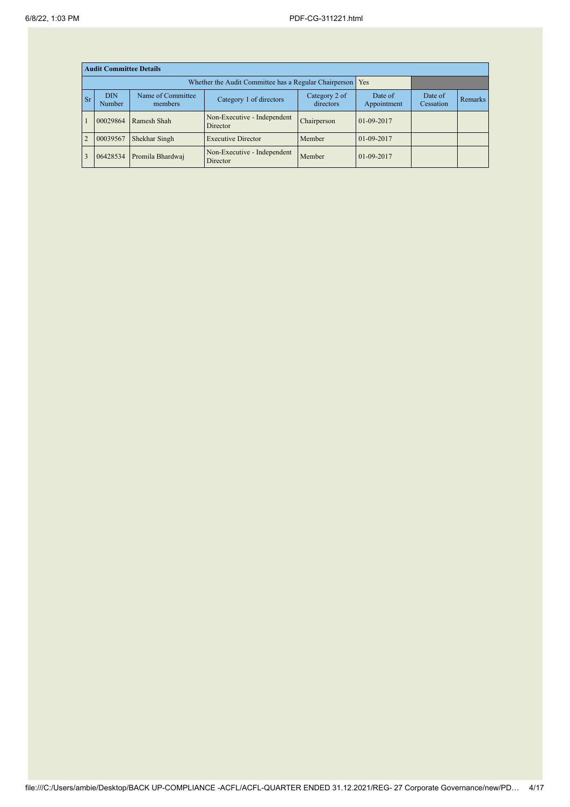|                | <b>Audit Committee Details</b> |                              |                                                       |                            |                        |                      |                |  |  |  |
|----------------|--------------------------------|------------------------------|-------------------------------------------------------|----------------------------|------------------------|----------------------|----------------|--|--|--|
|                |                                |                              | Whether the Audit Committee has a Regular Chairperson | Yes                        |                        |                      |                |  |  |  |
| <b>Sr</b>      | <b>DIN</b><br>Number           | Name of Committee<br>members | Category 1 of directors                               | Category 2 of<br>directors | Date of<br>Appointment | Date of<br>Cessation | <b>Remarks</b> |  |  |  |
|                | 00029864                       | Ramesh Shah                  | Non-Executive - Independent<br>Director               | Chairperson                | 01-09-2017             |                      |                |  |  |  |
| $\overline{2}$ | 00039567                       | Shekhar Singh                | <b>Executive Director</b>                             | Member                     | 01-09-2017             |                      |                |  |  |  |
| $\overline{3}$ | 06428534                       | Promila Bhardwaj             | Non-Executive - Independent<br>Director               | Member                     | 01-09-2017             |                      |                |  |  |  |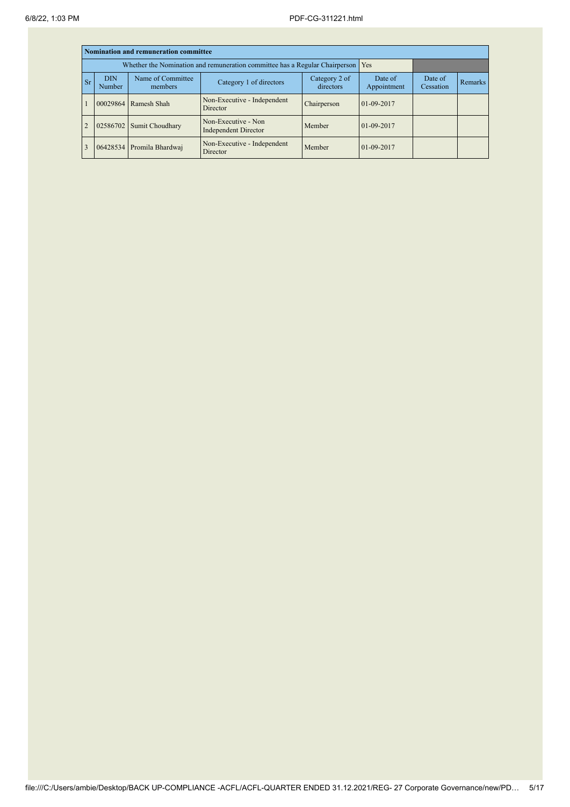|                | Nomination and remuneration committee |                                                                             |                                                    |                        |                      |         |  |  |  |  |
|----------------|---------------------------------------|-----------------------------------------------------------------------------|----------------------------------------------------|------------------------|----------------------|---------|--|--|--|--|
|                |                                       | Whether the Nomination and remuneration committee has a Regular Chairperson | Yes                                                |                        |                      |         |  |  |  |  |
| <b>Sr</b>      | <b>DIN</b><br>Number                  | Name of Committee<br>members                                                | Category 2 of<br>directors                         | Date of<br>Appointment | Date of<br>Cessation | Remarks |  |  |  |  |
|                | 00029864                              | Ramesh Shah                                                                 | Non-Executive - Independent<br>Director            | Chairperson            | $01-09-2017$         |         |  |  |  |  |
| $\overline{2}$ | 02586702                              | Sumit Choudhary                                                             | Non-Executive - Non<br><b>Independent Director</b> | Member                 | 01-09-2017           |         |  |  |  |  |
|                |                                       | 06428534 Promila Bhardwaj                                                   | Non-Executive - Independent<br>Director            | Member                 | $01-09-2017$         |         |  |  |  |  |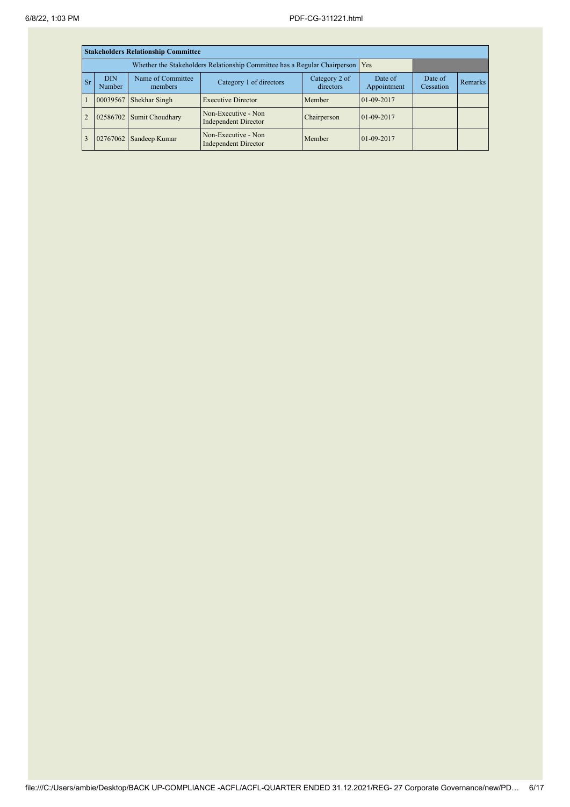|                | <b>Stakeholders Relationship Committee</b>                                                   |                                                                                 |                                                    |                            |                        |                      |                |  |  |  |
|----------------|----------------------------------------------------------------------------------------------|---------------------------------------------------------------------------------|----------------------------------------------------|----------------------------|------------------------|----------------------|----------------|--|--|--|
|                |                                                                                              | Whether the Stakeholders Relationship Committee has a Regular Chairperson   Yes |                                                    |                            |                        |                      |                |  |  |  |
|                | Name of Committee<br><b>DIN</b><br><b>Sr</b><br>Category 1 of directors<br>Number<br>members |                                                                                 |                                                    | Category 2 of<br>directors | Date of<br>Appointment | Date of<br>Cessation | <b>Remarks</b> |  |  |  |
|                | 00039567                                                                                     | Shekhar Singh                                                                   | <b>Executive Director</b>                          | Member                     | 01-09-2017             |                      |                |  |  |  |
| $\overline{2}$ | 02586702                                                                                     | Sumit Choudhary                                                                 | Non-Executive - Non<br><b>Independent Director</b> | Chairperson                | $01-09-2017$           |                      |                |  |  |  |
|                | 02767062                                                                                     | Sandeep Kumar                                                                   | Non-Executive - Non<br><b>Independent Director</b> | Member                     | $01-09-2017$           |                      |                |  |  |  |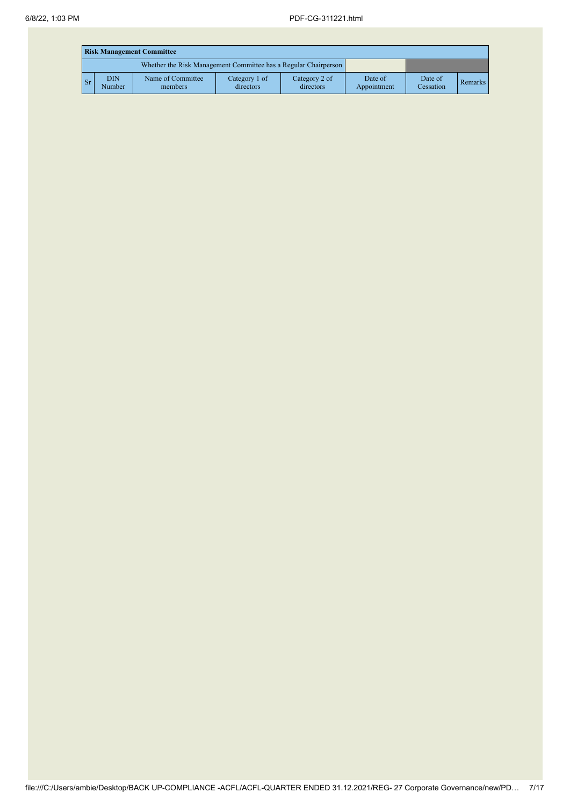|       | <b>Risk Management Committee</b> |                                                                 |                            |                            |                        |                      |         |  |  |
|-------|----------------------------------|-----------------------------------------------------------------|----------------------------|----------------------------|------------------------|----------------------|---------|--|--|
|       |                                  | Whether the Risk Management Committee has a Regular Chairperson |                            |                            |                        |                      |         |  |  |
| $S_r$ | <b>DIN</b><br>Number             | Name of Committee<br>members                                    | Category 1 of<br>directors | Category 2 of<br>directors | Date of<br>Appointment | Date of<br>Cessation | Remarks |  |  |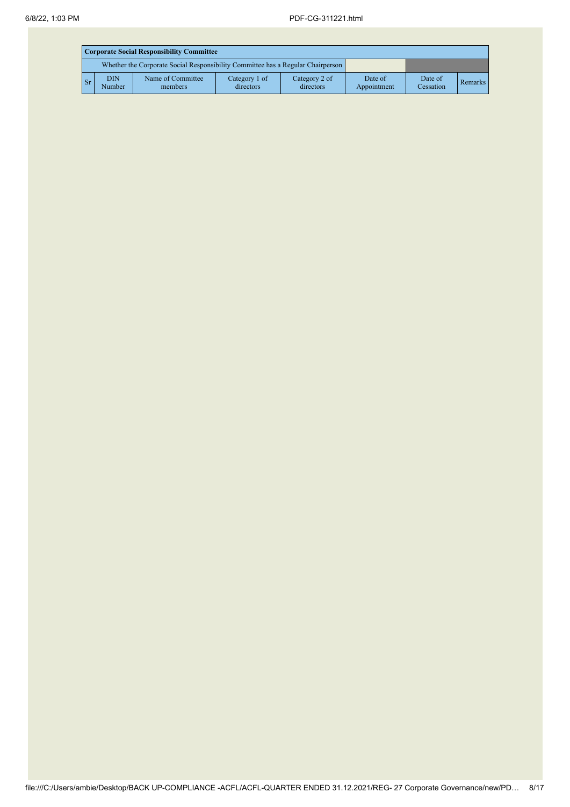|             | <b>Corporate Social Responsibility Committee</b>                                |                              |                            |                            |                        |                      |         |  |  |
|-------------|---------------------------------------------------------------------------------|------------------------------|----------------------------|----------------------------|------------------------|----------------------|---------|--|--|
|             | Whether the Corporate Social Responsibility Committee has a Regular Chairperson |                              |                            |                            |                        |                      |         |  |  |
| $S_{\rm r}$ | <b>DIN</b><br>Number                                                            | Name of Committee<br>members | Category 1 of<br>directors | Category 2 of<br>directors | Date of<br>Appointment | Date of<br>Cessation | Remarks |  |  |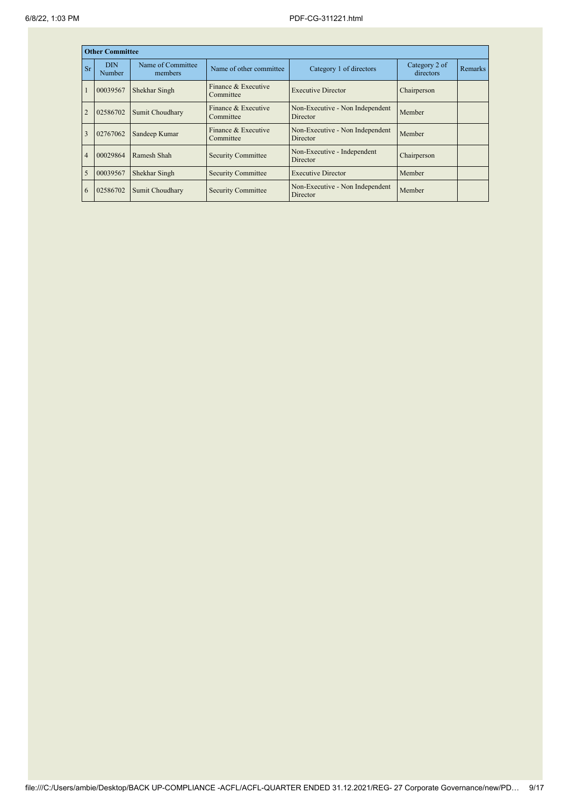|                | <b>Other Committee</b>                                        |                              |                                             |                                             |                            |         |
|----------------|---------------------------------------------------------------|------------------------------|---------------------------------------------|---------------------------------------------|----------------------------|---------|
| Sr             | <b>DIN</b><br>Number                                          | Name of Committee<br>members | Name of other committee                     | Category 1 of directors                     | Category 2 of<br>directors | Remarks |
|                | Finance & Executive<br>00039567<br>Shekhar Singh<br>Committee |                              | <b>Executive Director</b>                   | Chairperson                                 |                            |         |
|                | 02586702                                                      | Sumit Choudhary              | Finance & Executive<br>Committee            | Non-Executive - Non Independent<br>Director | Member                     |         |
| $\overline{3}$ | 02767062                                                      | Sandeep Kumar                | Finance & Executive<br>Committee            | Non-Executive - Non Independent<br>Director | Member                     |         |
| $\overline{4}$ | 00029864                                                      | Ramesh Shah                  | <b>Security Committee</b>                   | Non-Executive - Independent<br>Director     | Chairperson                |         |
| 5              | 00039567                                                      | Shekhar Singh                | <b>Security Committee</b>                   | <b>Executive Director</b>                   | Member                     |         |
| 6              | 02586702<br>Sumit Choudhary<br><b>Security Committee</b>      |                              | Non-Executive - Non Independent<br>Director | Member                                      |                            |         |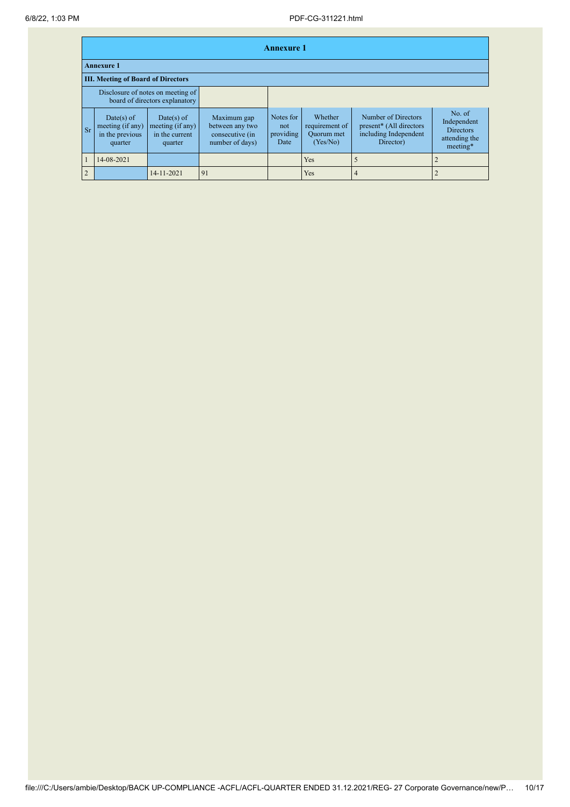|                |                                                                           | <b>Annexure 1</b>                         |                                                                     |                                                                      |                                       |                                                     |                                                                                      |                                                                        |  |
|----------------|---------------------------------------------------------------------------|-------------------------------------------|---------------------------------------------------------------------|----------------------------------------------------------------------|---------------------------------------|-----------------------------------------------------|--------------------------------------------------------------------------------------|------------------------------------------------------------------------|--|
|                |                                                                           | <b>Annexure 1</b>                         |                                                                     |                                                                      |                                       |                                                     |                                                                                      |                                                                        |  |
|                |                                                                           | <b>III. Meeting of Board of Directors</b> |                                                                     |                                                                      |                                       |                                                     |                                                                                      |                                                                        |  |
|                |                                                                           |                                           | Disclosure of notes on meeting of<br>board of directors explanatory |                                                                      |                                       |                                                     |                                                                                      |                                                                        |  |
|                | Date(s) of<br>meeting (if any)<br><b>Sr</b><br>in the previous<br>quarter |                                           | $Date(s)$ of<br>meeting (if any)<br>in the current<br>quarter       | Maximum gap<br>between any two<br>consecutive (in<br>number of days) | Notes for<br>not<br>providing<br>Date | Whether<br>requirement of<br>Quorum met<br>(Yes/No) | Number of Directors<br>present* (All directors<br>including Independent<br>Director) | No. of<br>Independent<br><b>Directors</b><br>attending the<br>meeting* |  |
|                |                                                                           | 14-08-2021                                |                                                                     |                                                                      |                                       | <b>Yes</b>                                          |                                                                                      |                                                                        |  |
| $\overline{2}$ |                                                                           |                                           | 14-11-2021                                                          | 91                                                                   |                                       | Yes                                                 | $\overline{4}$                                                                       |                                                                        |  |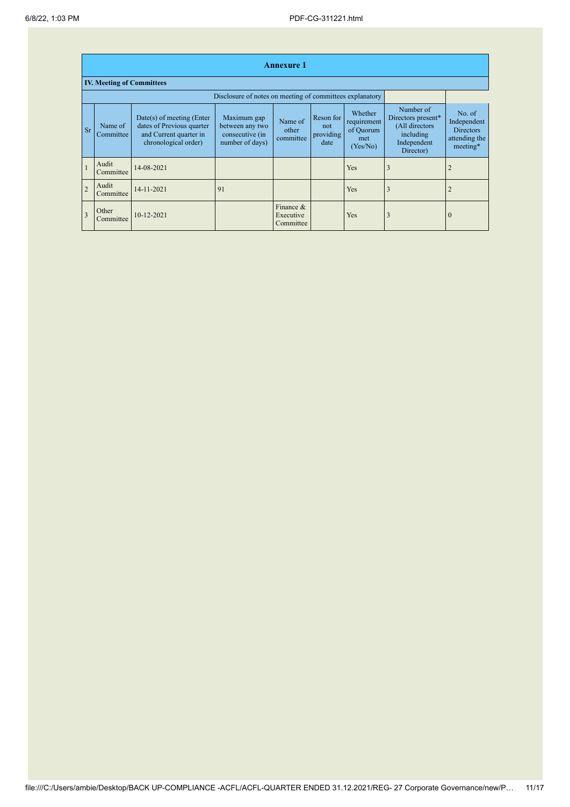|                |                                                          |                                                                                                            |                                                                      | <b>Annexure 1</b>                   |                                       |                                                        |                                                                                            |                                                                        |  |
|----------------|----------------------------------------------------------|------------------------------------------------------------------------------------------------------------|----------------------------------------------------------------------|-------------------------------------|---------------------------------------|--------------------------------------------------------|--------------------------------------------------------------------------------------------|------------------------------------------------------------------------|--|
|                | <b>IV. Meeting of Committees</b>                         |                                                                                                            |                                                                      |                                     |                                       |                                                        |                                                                                            |                                                                        |  |
|                | Disclosure of notes on meeting of committees explanatory |                                                                                                            |                                                                      |                                     |                                       |                                                        |                                                                                            |                                                                        |  |
| <b>Sr</b>      | Name of<br>Committee                                     | $Date(s)$ of meeting (Enter<br>dates of Previous quarter<br>and Current quarter in<br>chronological order) | Maximum gap<br>between any two<br>consecutive (in<br>number of days) | Name of<br>other<br>committee       | Reson for<br>not<br>providing<br>date | Whether<br>requirement<br>of Quorum<br>met<br>(Yes/No) | Number of<br>Directors present*<br>(All directors<br>including<br>Independent<br>Director) | No. of<br>Independent<br><b>Directors</b><br>attending the<br>meeting* |  |
|                | Audit<br>Committee                                       | 14-08-2021                                                                                                 |                                                                      |                                     |                                       | <b>Yes</b>                                             | $\overline{3}$                                                                             |                                                                        |  |
| $\overline{2}$ | Audit<br>Committee                                       | 14-11-2021                                                                                                 | 91                                                                   |                                     |                                       | Yes                                                    | 3                                                                                          |                                                                        |  |
| $\overline{3}$ | Other<br>Committee                                       | $10 - 12 - 2021$                                                                                           |                                                                      | Finance &<br>Executive<br>Committee |                                       | Yes                                                    | 3                                                                                          | $\theta$                                                               |  |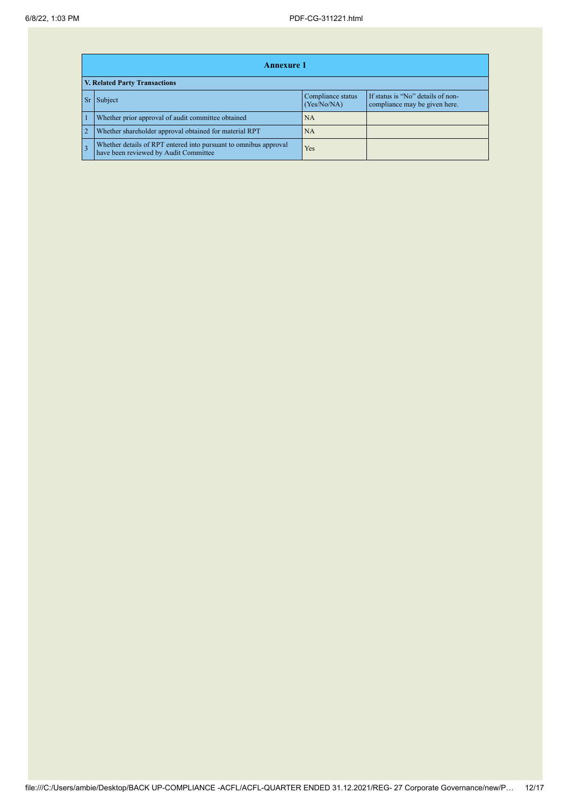|                | <b>Annexure 1</b>                                                                                         |                                  |                                                                    |  |  |  |  |  |  |
|----------------|-----------------------------------------------------------------------------------------------------------|----------------------------------|--------------------------------------------------------------------|--|--|--|--|--|--|
|                | V. Related Party Transactions                                                                             |                                  |                                                                    |  |  |  |  |  |  |
|                | Subject                                                                                                   | Compliance status<br>(Yes/No/NA) | If status is "No" details of non-<br>compliance may be given here. |  |  |  |  |  |  |
|                | Whether prior approval of audit committee obtained                                                        | <b>NA</b>                        |                                                                    |  |  |  |  |  |  |
| $\overline{2}$ | Whether shareholder approval obtained for material RPT                                                    | NA                               |                                                                    |  |  |  |  |  |  |
|                | Whether details of RPT entered into pursuant to omnibus approval<br>have been reviewed by Audit Committee | Yes                              |                                                                    |  |  |  |  |  |  |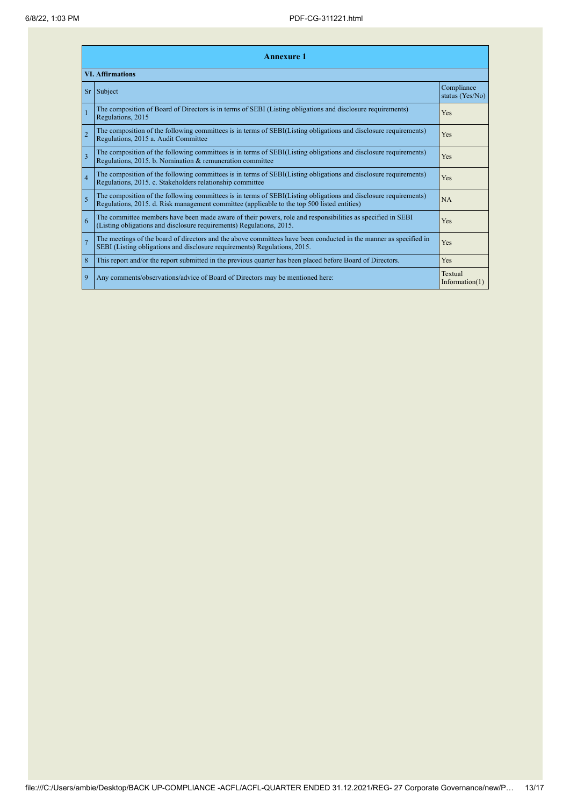| <b>Annexure 1</b>       |                                                                                                                                                                                                                 |                               |  |  |
|-------------------------|-----------------------------------------------------------------------------------------------------------------------------------------------------------------------------------------------------------------|-------------------------------|--|--|
| <b>VI. Affirmations</b> |                                                                                                                                                                                                                 |                               |  |  |
|                         | $Sr$ Subject                                                                                                                                                                                                    | Compliance<br>status (Yes/No) |  |  |
|                         | The composition of Board of Directors is in terms of SEBI (Listing obligations and disclosure requirements)<br>Regulations, 2015                                                                                | Yes                           |  |  |
| $\overline{2}$          | The composition of the following committees is in terms of SEBI(Listing obligations and disclosure requirements)<br>Regulations, 2015 a. Audit Committee                                                        | Yes                           |  |  |
| $\overline{3}$          | The composition of the following committees is in terms of SEBI(Listing obligations and disclosure requirements)<br>Regulations, 2015. b. Nomination & remuneration committee                                   | Yes                           |  |  |
| $\overline{4}$          | The composition of the following committees is in terms of SEBI(Listing obligations and disclosure requirements)<br>Regulations, 2015. c. Stakeholders relationship committee                                   | Yes                           |  |  |
| $\overline{5}$          | The composition of the following committees is in terms of SEBI(Listing obligations and disclosure requirements)<br>Regulations, 2015. d. Risk management committee (applicable to the top 500 listed entities) | NA                            |  |  |
| 6                       | The committee members have been made aware of their powers, role and responsibilities as specified in SEBI<br>(Listing obligations and disclosure requirements) Regulations, 2015.                              | Yes                           |  |  |
| $\overline{7}$          | The meetings of the board of directors and the above committees have been conducted in the manner as specified in<br>SEBI (Listing obligations and disclosure requirements) Regulations, 2015.                  | Yes                           |  |  |
| 8                       | This report and/or the report submitted in the previous quarter has been placed before Board of Directors.                                                                                                      | Yes                           |  |  |
| 9                       | Any comments/observations/advice of Board of Directors may be mentioned here:                                                                                                                                   | Textual<br>Information $(1)$  |  |  |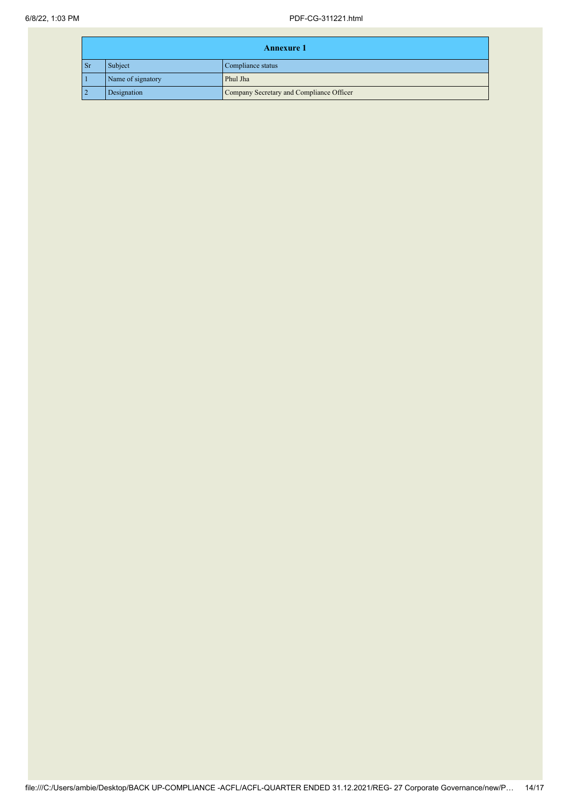|                | <b>Annexure 1</b> |                                          |  |
|----------------|-------------------|------------------------------------------|--|
| $\mathbf{S}$ r | Subject           | Compliance status                        |  |
|                | Name of signatory | Phul Jha                                 |  |
|                | Designation       | Company Secretary and Compliance Officer |  |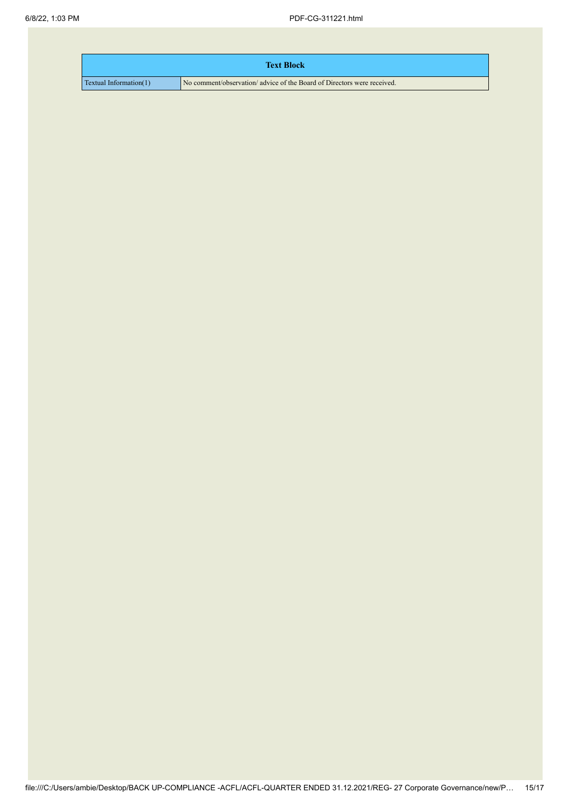| <b>Text Block</b>      |                                                                         |
|------------------------|-------------------------------------------------------------------------|
| Textual Information(1) | No comment/observation/ advice of the Board of Directors were received. |